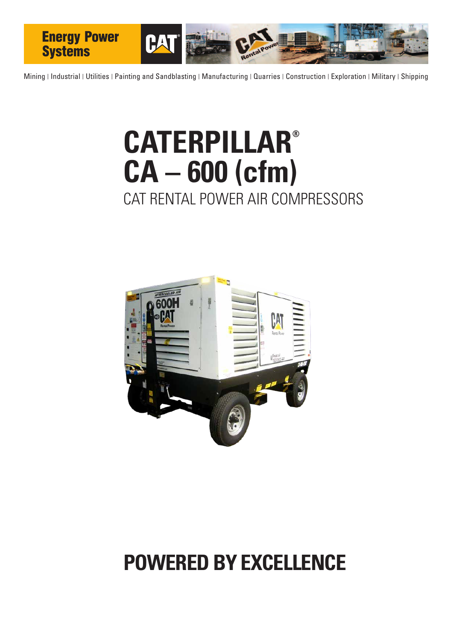

Mining | Industrial | Utilities | Painting and Sandblasting | Manufacturing | Quarries | Construction | Exploration | Military | Shipping

## **CATERPILLAR® CA – 600 (cfm)**  CAT RENTAL POWER AIR COMPRESSORS



### **POWERED BY EXCELLENCE**